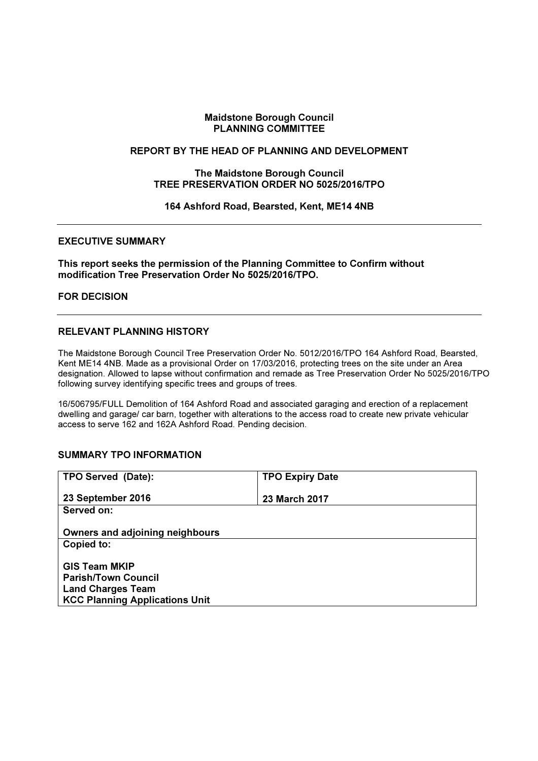### Maidstone Borough Council PLANNING COMMITTEE

### REPORT BY THE HEAD OF PLANNING AND DEVELOPMENT

#### The Maidstone Borough Council TREE PRESERVATION ORDER NO 5025/2016/TPO

#### 164 Ashford Road, Bearsted, Kent, ME14 4NB

#### EXECUTIVE SUMMARY

#### This report seeks the permission of the Planning Committee to Confirm without modification Tree Preservation Order No 5025/2016/TPO.

### FOR DECISION

# RELEVANT PLANNING HISTORY

The Maidstone Borough Council Tree Preservation Order No. 5012/2016/TPO 164 Ashford Road, Bearsted, Kent ME14 4NB. Made as a provisional Order on 17/03/2016, protecting trees on the site under an Area designation. Allowed to lapse without confirmation and remade as Tree Preservation Order No 5025/2016/TPO following survey identifying specific trees and groups of trees.

16/506795/FULL Demolition of 164 Ashford Road and associated garaging and erection of a replacement dwelling and garage/ car barn, together with alterations to the access road to create new private vehicular access to serve 162 and 162A Ashford Road. Pending decision.

### SUMMARY TPO INFORMATION

| TPO Served (Date):                    | <b>TPO Expiry Date</b> |
|---------------------------------------|------------------------|
| 23 September 2016                     | 23 March 2017          |
| Served on:                            |                        |
| Owners and adjoining neighbours       |                        |
| Copied to:                            |                        |
| <b>GIS Team MKIP</b>                  |                        |
| <b>Parish/Town Council</b>            |                        |
| <b>Land Charges Team</b>              |                        |
| <b>KCC Planning Applications Unit</b> |                        |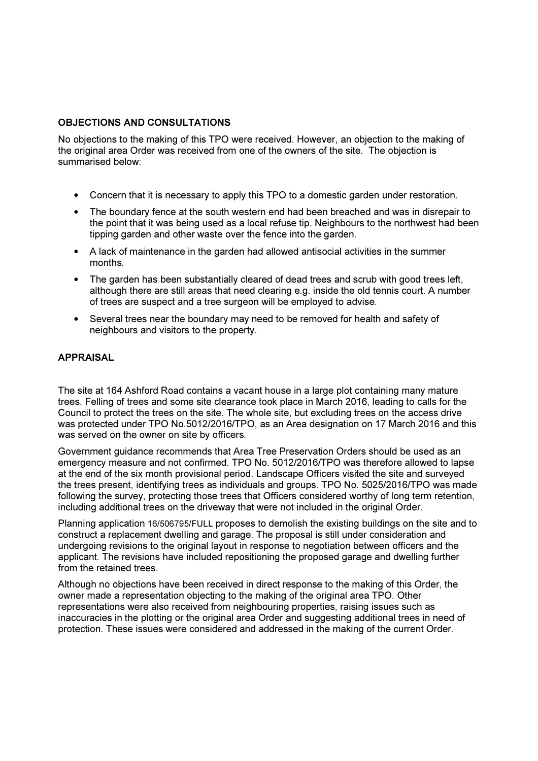# OBJECTIONS AND CONSULTATIONS

No objections to the making of this TPO were received. However, an objection to the making of the original area Order was received from one of the owners of the site. The objection is summarised below:

- Concern that it is necessary to apply this TPO to a domestic garden under restoration.
- The boundary fence at the south western end had been breached and was in disrepair to the point that it was being used as a local refuse tip. Neighbours to the northwest had been tipping garden and other waste over the fence into the garden.
- A lack of maintenance in the garden had allowed antisocial activities in the summer months.
- The garden has been substantially cleared of dead trees and scrub with good trees left, although there are still areas that need clearing e.g. inside the old tennis court. A number of trees are suspect and a tree surgeon will be employed to advise.
- Several trees near the boundary may need to be removed for health and safety of neighbours and visitors to the property.

# APPRAISAL

The site at 164 Ashford Road contains a vacant house in a large plot containing many mature trees. Felling of trees and some site clearance took place in March 2016, leading to calls for the Council to protect the trees on the site. The whole site, but excluding trees on the access drive was protected under TPO No.5012/2016/TPO, as an Area designation on 17 March 2016 and this was served on the owner on site by officers.

Government guidance recommends that Area Tree Preservation Orders should be used as an emergency measure and not confirmed. TPO No. 5012/2016/TPO was therefore allowed to lapse at the end of the six month provisional period. Landscape Officers visited the site and surveyed the trees present, identifying trees as individuals and groups. TPO No. 5025/2016/TPO was made following the survey, protecting those trees that Officers considered worthy of long term retention, including additional trees on the driveway that were not included in the original Order.

Planning application 16/506795/FULL proposes to demolish the existing buildings on the site and to construct a replacement dwelling and garage. The proposal is still under consideration and undergoing revisions to the original layout in response to negotiation between officers and the applicant. The revisions have included repositioning the proposed garage and dwelling further from the retained trees.

Although no objections have been received in direct response to the making of this Order, the owner made a representation objecting to the making of the original area TPO. Other representations were also received from neighbouring properties, raising issues such as inaccuracies in the plotting or the original area Order and suggesting additional trees in need of protection. These issues were considered and addressed in the making of the current Order.